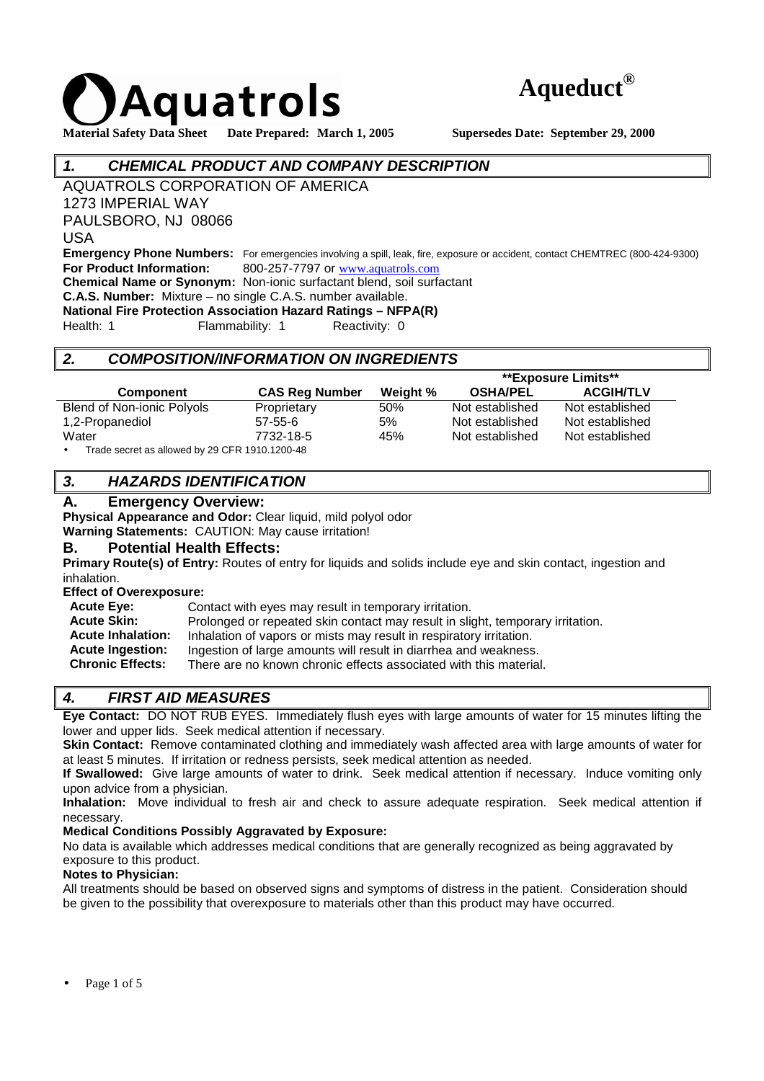



# **1. CHEMICAL PRODUCT AND COMPANY DESCRIPTION**

AQUATROLS CORPORATION OF AMERICA

1273 IMPERIAL WAY

PAULSBORO, NJ 08066

USA

**Emergency Phone Numbers:** For emergencies involving a spill, leak, fire, exposure or accident, contact CHEMTREC (800-424-9300) **For Product Information:** 800-257-7797 or www.aquatrols.com **Chemical Name or Synonym:** Non-ionic surfactant blend, soil surfactant

**C.A.S. Number:** Mixture – no single C.A.S. number available.

**National Fire Protection Association Hazard Ratings – NFPA(R)** 

Health: 1 Flammability: 1 Reactivity: 0

# **2. COMPOSITION/INFORMATION ON INGREDIENTS**

|                                                             |                       |          | **Exposure Limits** |                  |
|-------------------------------------------------------------|-----------------------|----------|---------------------|------------------|
| <b>Component</b>                                            | <b>CAS Reg Number</b> | Weight % | <b>OSHA/PEL</b>     | <b>ACGIH/TLV</b> |
| Blend of Non-ionic Polyols                                  | Proprietary           | 50%      | Not established     | Not established  |
| 1,2-Propanediol                                             | $57 - 55 - 6$         | 5%       | Not established     | Not established  |
| Water                                                       | 7732-18-5             | 45%      | Not established     | Not established  |
| Trade secret as allowed by 29 CFR 1910.1200-48<br>$\bullet$ |                       |          |                     |                  |

# **3. HAZARDS IDENTIFICATION**

## **A. Emergency Overview:**

**Physical Appearance and Odor:** Clear liquid, mild polyol odor

**Warning Statements:** CAUTION: May cause irritation!

## **B. Potential Health Effects:**

**Primary Route(s) of Entry:** Routes of entry for liquids and solids include eye and skin contact, ingestion and inhalation.

**Effect of Overexposure:** 

| <b>Acute Eye:</b>        | Contact with eyes may result in temporary irritation.                          |
|--------------------------|--------------------------------------------------------------------------------|
| <b>Acute Skin:</b>       | Prolonged or repeated skin contact may result in slight, temporary irritation. |
| <b>Acute Inhalation:</b> | Inhalation of vapors or mists may result in respiratory irritation.            |
| <b>Acute Ingestion:</b>  | Ingestion of large amounts will result in diarrhea and weakness.               |
| <b>Chronic Effects:</b>  | There are no known chronic effects associated with this material.              |
|                          |                                                                                |

# **4. FIRST AID MEASURES**

**Eye Contact:** DO NOT RUB EYES. Immediately flush eyes with large amounts of water for 15 minutes lifting the lower and upper lids. Seek medical attention if necessary.

**Skin Contact:** Remove contaminated clothing and immediately wash affected area with large amounts of water for at least 5 minutes. If irritation or redness persists, seek medical attention as needed.

**If Swallowed:** Give large amounts of water to drink. Seek medical attention if necessary. Induce vomiting only upon advice from a physician.

**Inhalation:** Move individual to fresh air and check to assure adequate respiration. Seek medical attention if necessary.

## **Medical Conditions Possibly Aggravated by Exposure:**

No data is available which addresses medical conditions that are generally recognized as being aggravated by exposure to this product.

## **Notes to Physician:**

All treatments should be based on observed signs and symptoms of distress in the patient. Consideration should be given to the possibility that overexposure to materials other than this product may have occurred.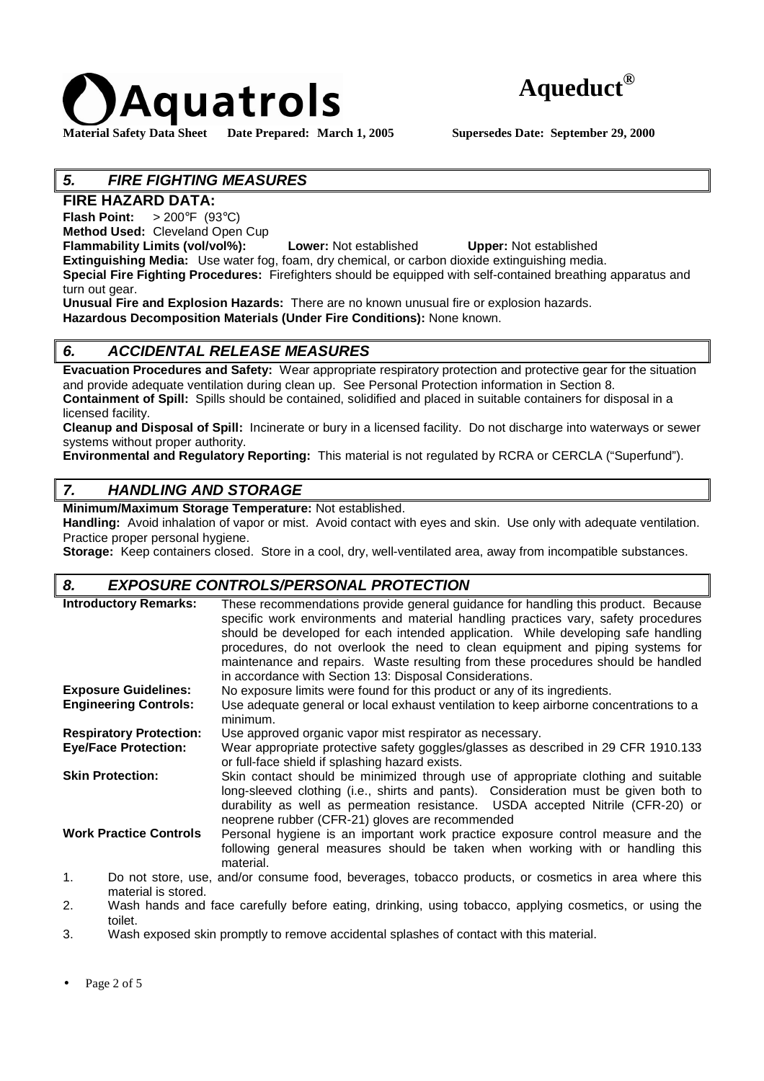



# **5. FIRE FIGHTING MEASURES**

# **FIRE HAZARD DATA:**

**Flash Point:** > 200°F (93°C)

**Method Used:** Cleveland Open Cup

**Flammability Limits (vol/vol%): Lower:** Not established **Upper:** Not established

**Extinguishing Media:** Use water fog, foam, dry chemical, or carbon dioxide extinguishing media. **Special Fire Fighting Procedures:** Firefighters should be equipped with self-contained breathing apparatus and

turn out gear. **Unusual Fire and Explosion Hazards:** There are no known unusual fire or explosion hazards.

**Hazardous Decomposition Materials (Under Fire Conditions):** None known.

# **6. ACCIDENTAL RELEASE MEASURES**

**Evacuation Procedures and Safety:** Wear appropriate respiratory protection and protective gear for the situation and provide adequate ventilation during clean up. See Personal Protection information in Section 8. **Containment of Spill:** Spills should be contained, solidified and placed in suitable containers for disposal in a licensed facility.

**Cleanup and Disposal of Spill:** Incinerate or bury in a licensed facility. Do not discharge into waterways or sewer systems without proper authority.

**Environmental and Regulatory Reporting:** This material is not regulated by RCRA or CERCLA ("Superfund").

# **7. HANDLING AND STORAGE**

**Minimum/Maximum Storage Temperature:** Not established.

**Handling:** Avoid inhalation of vapor or mist. Avoid contact with eyes and skin. Use only with adequate ventilation. Practice proper personal hygiene.

**Storage:** Keep containers closed. Store in a cool, dry, well-ventilated area, away from incompatible substances.

# **8. EXPOSURE CONTROLS/PERSONAL PROTECTION**

| <b>Introductory Remarks:</b>   | These recommendations provide general guidance for handling this product. Because<br>specific work environments and material handling practices vary, safety procedures<br>should be developed for each intended application. While developing safe handling<br>procedures, do not overlook the need to clean equipment and piping systems for<br>maintenance and repairs. Waste resulting from these procedures should be handled<br>in accordance with Section 13: Disposal Considerations. |
|--------------------------------|-----------------------------------------------------------------------------------------------------------------------------------------------------------------------------------------------------------------------------------------------------------------------------------------------------------------------------------------------------------------------------------------------------------------------------------------------------------------------------------------------|
| <b>Exposure Guidelines:</b>    | No exposure limits were found for this product or any of its ingredients.                                                                                                                                                                                                                                                                                                                                                                                                                     |
| <b>Engineering Controls:</b>   | Use adequate general or local exhaust ventilation to keep airborne concentrations to a<br>minimum.                                                                                                                                                                                                                                                                                                                                                                                            |
| <b>Respiratory Protection:</b> | Use approved organic vapor mist respirator as necessary.                                                                                                                                                                                                                                                                                                                                                                                                                                      |
| <b>Eye/Face Protection:</b>    | Wear appropriate protective safety goggles/glasses as described in 29 CFR 1910.133<br>or full-face shield if splashing hazard exists.                                                                                                                                                                                                                                                                                                                                                         |
| <b>Skin Protection:</b>        | Skin contact should be minimized through use of appropriate clothing and suitable<br>long-sleeved clothing (i.e., shirts and pants). Consideration must be given both to<br>durability as well as permeation resistance. USDA accepted Nitrile (CFR-20) or<br>neoprene rubber (CFR-21) gloves are recommended                                                                                                                                                                                 |
| <b>Work Practice Controls</b>  | Personal hygiene is an important work practice exposure control measure and the<br>following general measures should be taken when working with or handling this<br>material.                                                                                                                                                                                                                                                                                                                 |
| 1.                             | Do not store, use, and/or consume food, beverages, tobacco products, or cosmetics in area where this                                                                                                                                                                                                                                                                                                                                                                                          |

- 1. Do not store, use, and/or consume food, beverages, tobacco products, or cosmetics in area where this material is stored.
- 2. Wash hands and face carefully before eating, drinking, using tobacco, applying cosmetics, or using the toilet.
- 3. Wash exposed skin promptly to remove accidental splashes of contact with this material.

Page 2 of 5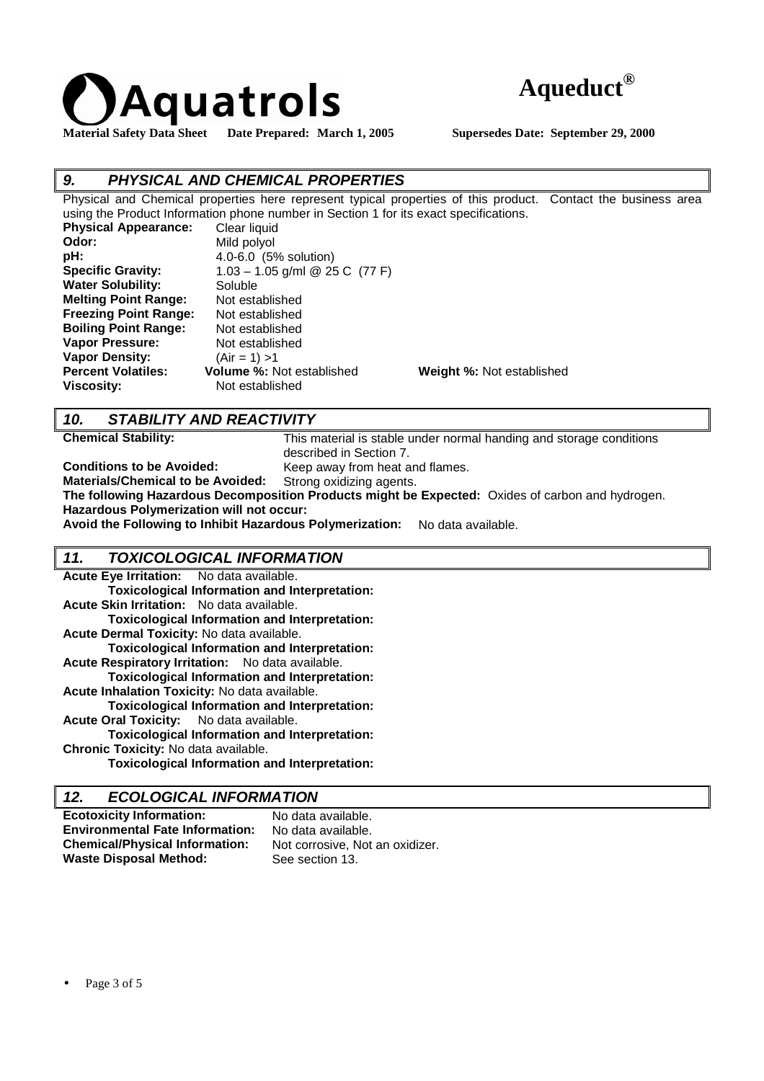



# **9. PHYSICAL AND CHEMICAL PROPERTIES**

Physical and Chemical properties here represent typical properties of this product. Contact the business area using the Product Information phone number in Section 1 for its exact specifications. **Physical Appearance:** Clear liquid **Odor:** Mild polyol **pH:** 4.0-6.0 (5% solution) **Specific Gravity:** 1.03 – 1.05 g/ml @ 25 C (77 F) Water Solubility: Soluble

| <b>Specific Gravity:</b>     | 1.03 – 1.05 g/ml @ 25 C (77 F)   |                           |
|------------------------------|----------------------------------|---------------------------|
| <b>Water Solubility:</b>     | Soluble                          |                           |
| <b>Melting Point Range:</b>  | Not established                  |                           |
| <b>Freezing Point Range:</b> | Not established                  |                           |
| <b>Boiling Point Range:</b>  | Not established                  |                           |
| <b>Vapor Pressure:</b>       | Not established                  |                           |
| <b>Vapor Density:</b>        | $(Air = 1) > 1$                  |                           |
| <b>Percent Volatiles:</b>    | <b>Volume %: Not established</b> | Weight %: Not established |
| <b>Viscosity:</b>            | Not established                  |                           |
|                              |                                  |                           |

# **10. STABILITY AND REACTIVITY**

**Chemical Stability:** This material is stable under normal handing and storage conditions described in Section 7.

**Conditions to be Avoided:** Keep away from heat and flames.

**Materials/Chemical to be Avoided:** Strong oxidizing agents.

**The following Hazardous Decomposition Products might be Expected:** Oxides of carbon and hydrogen. **Hazardous Polymerization will not occur:**

**Avoid the Following to Inhibit Hazardous Polymerization:** No data available.

## **11. TOXICOLOGICAL INFORMATION**

| Acute Eye Irritation: No data available.         |                                                      |
|--------------------------------------------------|------------------------------------------------------|
|                                                  | <b>Toxicological Information and Interpretation:</b> |
| Acute Skin Irritation: No data available.        |                                                      |
|                                                  | <b>Toxicological Information and Interpretation:</b> |
| Acute Dermal Toxicity: No data available.        |                                                      |
|                                                  | <b>Toxicological Information and Interpretation:</b> |
| Acute Respiratory Irritation: No data available. |                                                      |
|                                                  | <b>Toxicological Information and Interpretation:</b> |
| Acute Inhalation Toxicity: No data available.    |                                                      |
|                                                  | <b>Toxicological Information and Interpretation:</b> |
| Acute Oral Toxicity: No data available.          |                                                      |
|                                                  | <b>Toxicological Information and Interpretation:</b> |
| Chronic Toxicity: No data available.             |                                                      |
|                                                  | <b>Toxicological Information and Interpretation:</b> |

# **12. ECOLOGICAL INFORMATION**

| <b>Ecotoxicity Information:</b>        | No data available.              |
|----------------------------------------|---------------------------------|
| <b>Environmental Fate Information:</b> | No data available.              |
| <b>Chemical/Physical Information:</b>  | Not corrosive, Not an oxidizer. |
| <b>Waste Disposal Method:</b>          | See section 13.                 |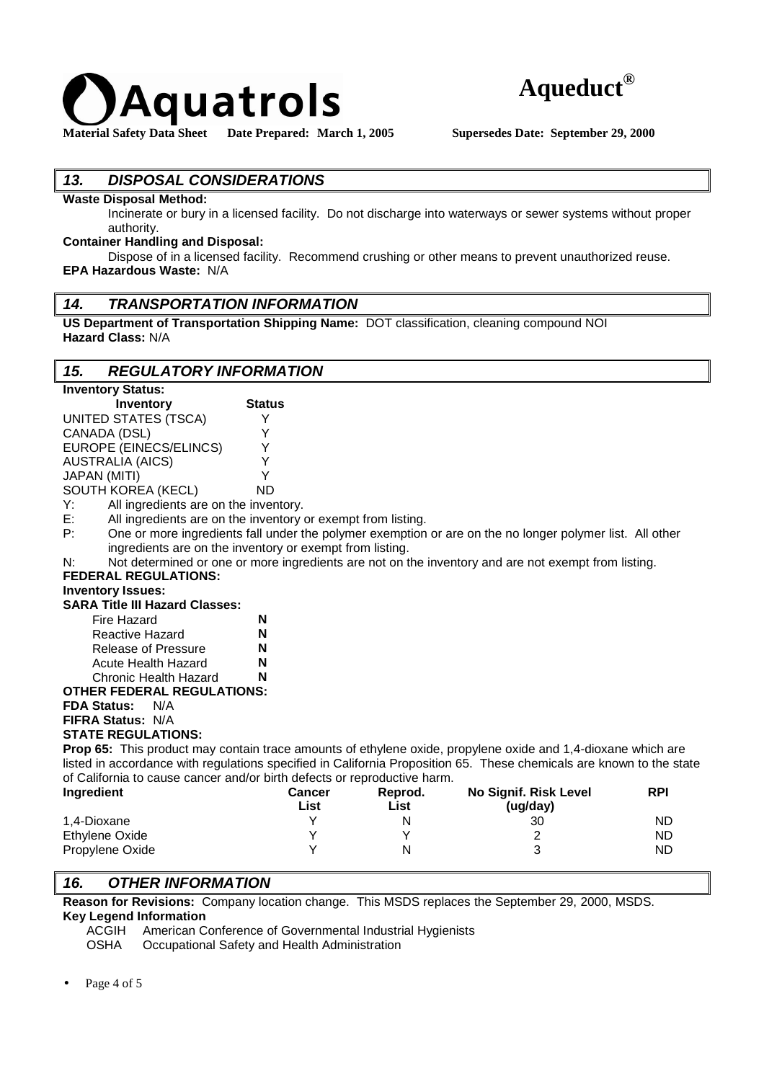



# **13. DISPOSAL CONSIDERATIONS**

#### **Waste Disposal Method:**

Incinerate or bury in a licensed facility. Do not discharge into waterways or sewer systems without proper authority.

#### **Container Handling and Disposal:**

Dispose of in a licensed facility. Recommend crushing or other means to prevent unauthorized reuse. **EPA Hazardous Waste:** N/A

#### **14. TRANSPORTATION INFORMATION**

**US Department of Transportation Shipping Name:** DOT classification, cleaning compound NOI **Hazard Class:** N/A

## **15. REGULATORY INFORMATION**

| <b>Inventory Status:</b>                                                                                             |               |             |                                                                                                          |            |
|----------------------------------------------------------------------------------------------------------------------|---------------|-------------|----------------------------------------------------------------------------------------------------------|------------|
| <b>Inventory</b>                                                                                                     | <b>Status</b> |             |                                                                                                          |            |
| <b>UNITED STATES (TSCA)</b>                                                                                          | Y             |             |                                                                                                          |            |
| CANADA (DSL)                                                                                                         | Y             |             |                                                                                                          |            |
| EUROPE (EINECS/ELINCS)                                                                                               | Y             |             |                                                                                                          |            |
| <b>AUSTRALIA (AICS)</b>                                                                                              | Y             |             |                                                                                                          |            |
| <b>JAPAN (MITI)</b>                                                                                                  | Y             |             |                                                                                                          |            |
| SOUTH KOREA (KECL)                                                                                                   | <b>ND</b>     |             |                                                                                                          |            |
| All ingredients are on the inventory.<br>Y:                                                                          |               |             |                                                                                                          |            |
| Е.<br>All ingredients are on the inventory or exempt from listing.                                                   |               |             |                                                                                                          |            |
| P:                                                                                                                   |               |             | One or more ingredients fall under the polymer exemption or are on the no longer polymer list. All other |            |
| ingredients are on the inventory or exempt from listing.                                                             |               |             |                                                                                                          |            |
| N:                                                                                                                   |               |             | Not determined or one or more ingredients are not on the inventory and are not exempt from listing.      |            |
| <b>FEDERAL REGULATIONS:</b>                                                                                          |               |             |                                                                                                          |            |
| <b>Inventory Issues:</b>                                                                                             |               |             |                                                                                                          |            |
| <b>SARA Title III Hazard Classes:</b>                                                                                |               |             |                                                                                                          |            |
| Fire Hazard                                                                                                          | N             |             |                                                                                                          |            |
| Reactive Hazard                                                                                                      | N             |             |                                                                                                          |            |
| Release of Pressure                                                                                                  | N             |             |                                                                                                          |            |
| Acute Health Hazard                                                                                                  | N             |             |                                                                                                          |            |
| <b>Chronic Health Hazard</b>                                                                                         | N             |             |                                                                                                          |            |
| <b>OTHER FEDERAL REGULATIONS:</b>                                                                                    |               |             |                                                                                                          |            |
| <b>FDA Status:</b><br>N/A                                                                                            |               |             |                                                                                                          |            |
| <b>FIFRA Status: N/A</b>                                                                                             |               |             |                                                                                                          |            |
| <b>STATE REGULATIONS:</b>                                                                                            |               |             |                                                                                                          |            |
| Prop 65: This product may contain trace amounts of ethylene oxide, propylene oxide and 1,4-dioxane which are         |               |             |                                                                                                          |            |
| listed in accordance with regulations specified in California Proposition 65. These chemicals are known to the state |               |             |                                                                                                          |            |
| of California to cause cancer and/or birth defects or reproductive harm.                                             |               |             |                                                                                                          |            |
| Ingredient                                                                                                           | <b>Cancer</b> | Reprod.     | No Signif. Risk Level                                                                                    | <b>RPI</b> |
|                                                                                                                      | List          | <b>List</b> | (ug/day)                                                                                                 |            |
| 1,4-Dioxane                                                                                                          | Y             | N           | 30                                                                                                       | ND         |
| <b>Ethylene Oxide</b>                                                                                                | Υ             | Y           | 2                                                                                                        | <b>ND</b>  |
| Propylene Oxide                                                                                                      | Y             | N           | 3                                                                                                        | <b>ND</b>  |

## **16. OTHER INFORMATION**

**Reason for Revisions:** Company location change. This MSDS replaces the September 29, 2000, MSDS. **Key Legend Information** 

ACGIH American Conference of Governmental Industrial Hygienists<br>
OSHA Occupational Safety and Health Administration

Occupational Safety and Health Administration

Propylene Oxide